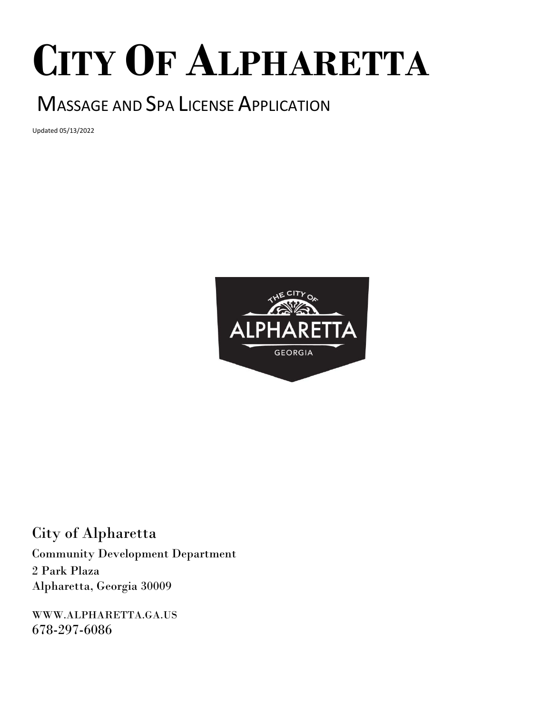# MASSAGE AND SPA LICENSE APPLICATION

Updated 05/13/2022



City of Alpharetta

Community Development Department 2 Park Plaza Alpharetta, Georgia 30009

WWW.ALPHARETTA.GA.US 678-297-6086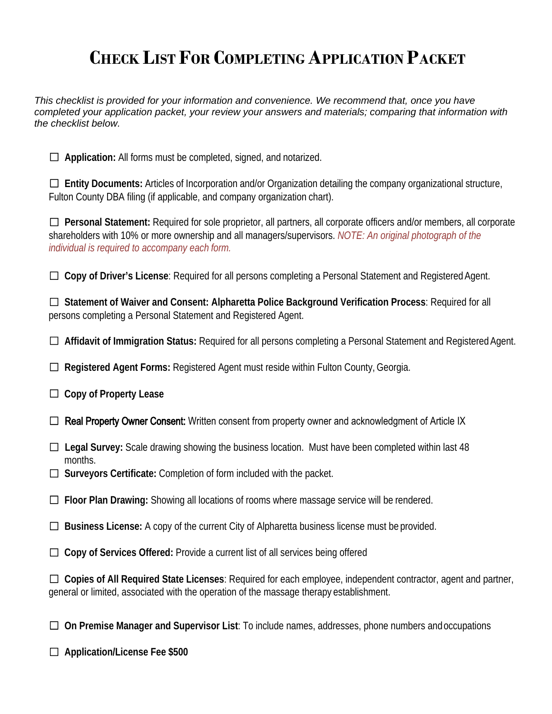## **CHECK LIST FOR COMPLETING APPLICATION PACKET**

*This checklist is provided for your information and convenience. We recommend that, once you have completed your application packet, your review your answers and materials; comparing that information with the checklist below.* 

|  |  |  | $\Box$ Application: All forms must be completed, signed, and notarized. |  |
|--|--|--|-------------------------------------------------------------------------|--|
|  |  |  |                                                                         |  |

☐ **Entity Documents:** Articles of Incorporation and/or Organization detailing the company organizational structure, Fulton County DBA filing (if applicable, and company organization chart).

☐ **Personal Statement:** Required for sole proprietor, all partners, all corporate officers and/or members, all corporate shareholders with 10% or more ownership and all managers/supervisors. *NOTE: An original photograph of the individual is required to accompany each form.*

☐ **Copy of Driver's License**: Required for all persons completing a Personal Statement and Registered Agent.

☐ **Statement of Waiver and Consent: Alpharetta Police Background Verification Process**: Required for all persons completing a Personal Statement and Registered Agent.

☐ **Affidavit of Immigration Status:** Required for all persons completing a Personal Statement and Registered Agent.

☐ **Registered Agent Forms:** Registered Agent must reside within Fulton County, Georgia.

☐ **Copy of Property Lease**

□ Real Property Owner Consent: Written consent from property owner and acknowledgment of Article IX

- ☐ **Legal Survey:** Scale drawing showing the business location. Must have been completed within last 48 months.
- ☐ **Surveyors Certificate:** Completion of form included with the packet.

☐ **Floor Plan Drawing:** Showing all locations of rooms where massage service will be rendered.

☐ **Business License:** A copy of the current City of Alpharetta business license must be provided.

☐ **Copy of Services Offered:** Provide a current list of all services being offered

☐ **Copies of All Required State Licenses**: Required for each employee, independent contractor, agent and partner, general or limited, associated with the operation of the massage therapy establishment.

☐ **On Premise Manager and Supervisor List**: To include names, addresses, phone numbers and occupations

☐ **Application/License Fee \$500**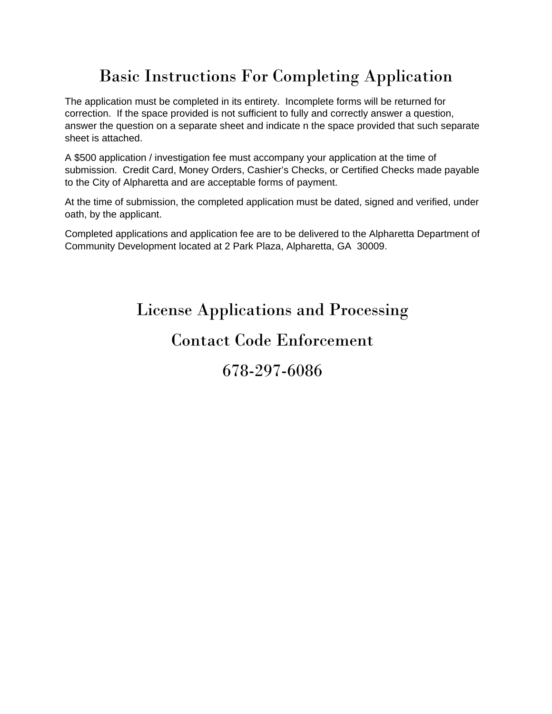## Basic Instructions For Completing Application

The application must be completed in its entirety. Incomplete forms will be returned for correction. If the space provided is not sufficient to fully and correctly answer a question, answer the question on a separate sheet and indicate n the space provided that such separate sheet is attached.

A \$500 application / investigation fee must accompany your application at the time of submission. Credit Card, Money Orders, Cashier's Checks, or Certified Checks made payable to the City of Alpharetta and are acceptable forms of payment.

At the time of submission, the completed application must be dated, signed and verified, under oath, by the applicant.

Completed applications and application fee are to be delivered to the Alpharetta Department of Community Development located at 2 Park Plaza, Alpharetta, GA 30009.

## License Applications and Processing

## Contact Code Enforcement

## 678-297-6086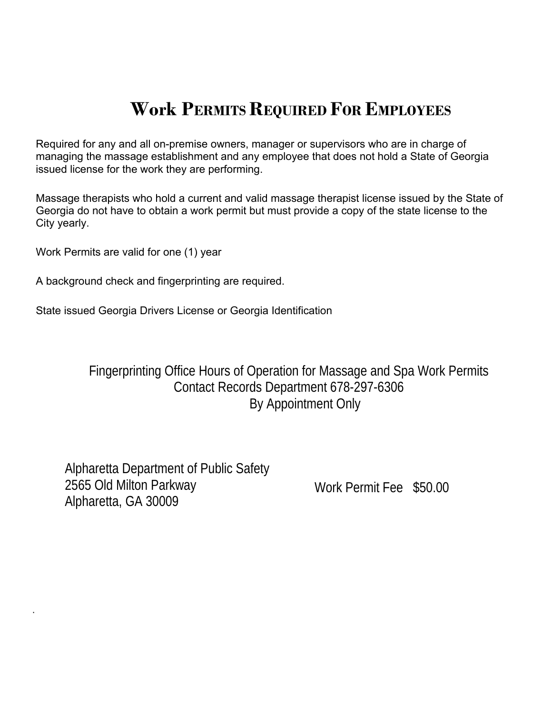## **Work PERMITS REQUIRED FOR EMPLOYEES**

Required for any and all on-premise owners, manager or supervisors who are in charge of managing the massage establishment and any employee that does not hold a State of Georgia issued license for the work they are performing.

Massage therapists who hold a current and valid massage therapist license issued by the State of Georgia do not have to obtain a work permit but must provide a copy of the state license to the City yearly.

Work Permits are valid for one (1) year

A background check and fingerprinting are required.

State issued Georgia Drivers License or Georgia Identification

#### Fingerprinting Office Hours of Operation for Massage and Spa Work Permits Contact Records Department 678-297-6306 By Appointment Only

Alpharetta Department of Public Safety 2565 Old Milton Parkway Alpharetta, GA 30009

.

Work Permit Fee \$50.00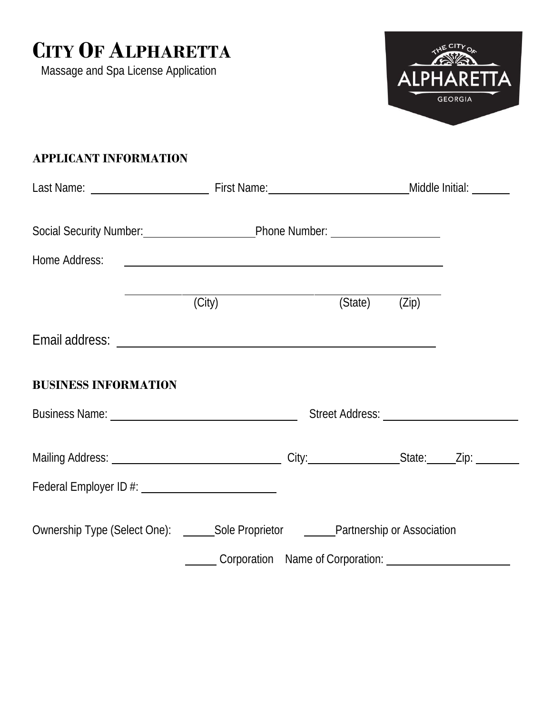Massage and Spa License Application



#### **APPLICANT INFORMATION**

|                                                                                        | (City) (State) (Zip) |  |  |
|----------------------------------------------------------------------------------------|----------------------|--|--|
|                                                                                        |                      |  |  |
| <b>BUSINESS INFORMATION</b>                                                            |                      |  |  |
|                                                                                        |                      |  |  |
|                                                                                        |                      |  |  |
|                                                                                        |                      |  |  |
| Ownership Type (Select One): _______Sole Proprietor ________Partnership or Association |                      |  |  |
|                                                                                        |                      |  |  |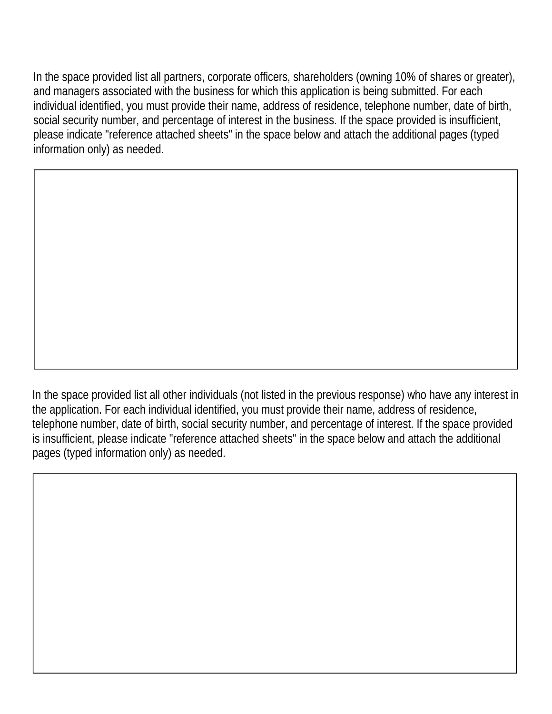In the space provided list all partners, corporate officers, shareholders (owning 10% of shares or greater), and managers associated with the business for which this application is being submitted. For each individual identified, you must provide their name, address of residence, telephone number, date of birth, social security number, and percentage of interest in the business. If the space provided is insufficient, please indicate "reference attached sheets" in the space below and attach the additional pages (typed information only) as needed.

In the space provided list all other individuals (not listed in the previous response) who have any interest in the application. For each individual identified, you must provide their name, address of residence, telephone number, date of birth, social security number, and percentage of interest. If the space provided is insufficient, please indicate "reference attached sheets" in the space below and attach the additional pages (typed information only) as needed.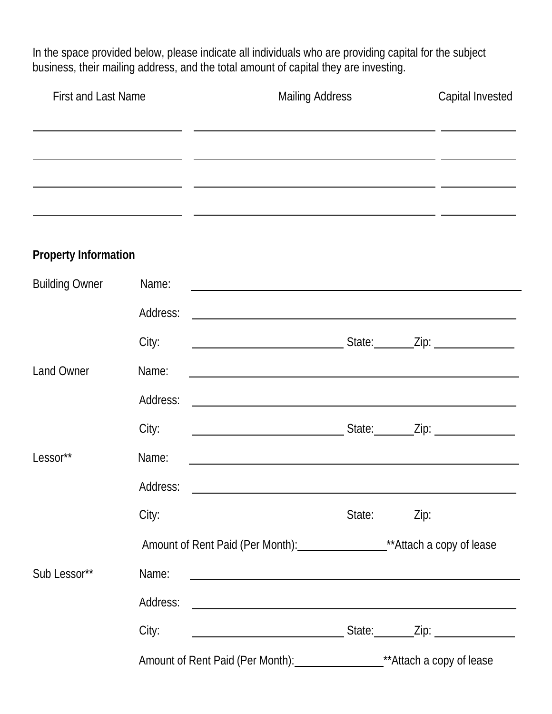In the space provided below, please indicate all individuals who are providing capital for the subject business, their mailing address, and the total amount of capital they are investing.

| <b>First and Last Name</b>  | <b>Mailing Address</b> | Capital Invested                                                                                                     |
|-----------------------------|------------------------|----------------------------------------------------------------------------------------------------------------------|
|                             |                        |                                                                                                                      |
|                             |                        | <u> 1989 - Jan Samuel Barbara, martin al-Amerikaansk politik (</u>                                                   |
| <b>Property Information</b> |                        |                                                                                                                      |
| <b>Building Owner</b>       | Name:                  |                                                                                                                      |
|                             | Address:               |                                                                                                                      |
|                             | City:                  |                                                                                                                      |
| <b>Land Owner</b>           | Name:                  |                                                                                                                      |
|                             | Address:               |                                                                                                                      |
|                             | City:                  |                                                                                                                      |
| Lessor**                    | Name:                  |                                                                                                                      |
|                             | Address:               |                                                                                                                      |
|                             | City:                  |                                                                                                                      |
|                             |                        |                                                                                                                      |
| Sub Lessor**                | Name:                  | <u> 1989 - Andrea Stadt Britain, amerikansk politiker (</u>                                                          |
|                             | Address:               | <u> 1980 - Johann Barbara, martin amerikan basar dan berasal dalam basa dalam basar dalam basar dalam basar dala</u> |
|                             | City:                  |                                                                                                                      |
|                             |                        |                                                                                                                      |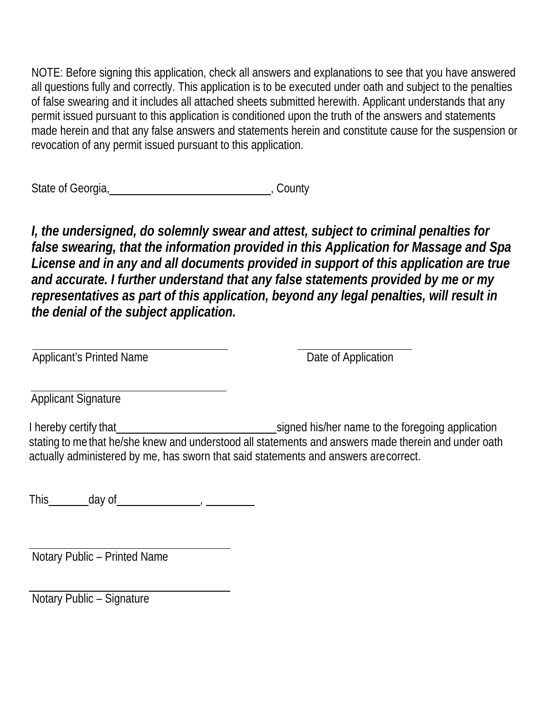NOTE: Before signing this application, check all answers and explanations to see that you have answered all questions fully and correctly. This application is to be executed under oath and subject to the penalties of false swearing and it includes all attached sheets submitted herewith. Applicant understands that any permit issued pursuant to this application is conditioned upon the truth of the answers and statements made herein and that any false answers and statements herein and constitute cause for the suspension or revocation of any permit issued pursuant to this application.

State of Georgia, and a state of Georgia,

*I, the undersigned, do solemnly swear and attest, subject to criminal penalties for false swearing, that the information provided in this Application for Massage and Spa License and in any and all documents provided in support of this application are true and accurate. I further understand that any false statements provided by me or my representatives as part of this application, beyond any legal penalties, will result in the denial of the subject application.* 

Applicant's Printed Name Date of Application

Applicant Signature

I hereby certify that 1.000 million control and the foregoing application in the foregoing application stating to me that he/she knew and understood all statements and answers made therein and under oath actually administered by me, has sworn that said statements and answers are correct.

This  $\qquad \qquad \text{day of} \qquad \qquad \text{and}$ 

Notary Public – Printed Name

Notary Public – Signature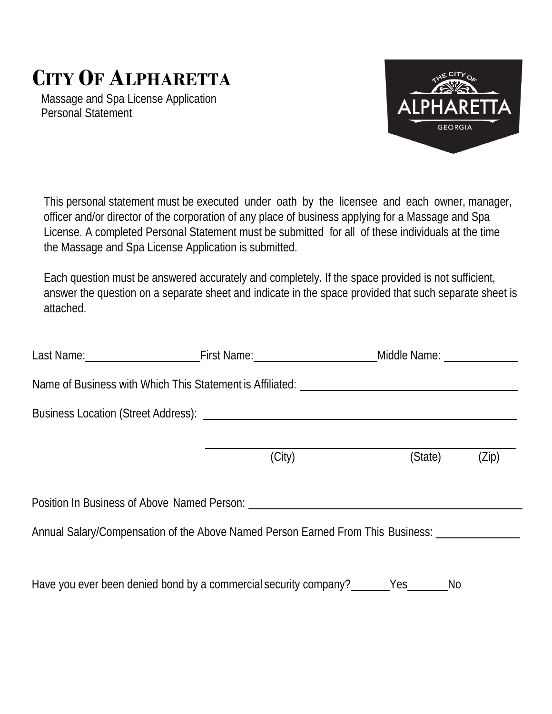Massage and Spa License Application Personal Statement



This personal statement must be executed under oath by the licensee and each owner, manager, officer and/or director of the corporation of any place of business applying for a Massage and Spa License. A completed Personal Statement must be submitted for all of these individuals at the time the Massage and Spa License Application is submitted.

Each question must be answered accurately and completely. If the space provided is not sufficient, answer the question on a separate sheet and indicate in the space provided that such separate sheet is attached.

| Last Name: <u>Name: Name:</u> First Name: Name: Name: Name: Name: Name: Name: Name: Name: Name: Name: Name: Name: Name: Name: Name: Name: Name: Name: Name: Name: Name: Name: Name: Name: Name: Name: Name: Name: Name: Name: Name: | Middle Name: _______________                                                          |
|-------------------------------------------------------------------------------------------------------------------------------------------------------------------------------------------------------------------------------------|---------------------------------------------------------------------------------------|
|                                                                                                                                                                                                                                     | Name of Business with Which This Statement is Affiliated: \[\statement is Affiliated: |
|                                                                                                                                                                                                                                     |                                                                                       |
| (City)                                                                                                                                                                                                                              | (Zip)<br>(State)                                                                      |
|                                                                                                                                                                                                                                     |                                                                                       |
| Annual Salary/Compensation of the Above Named Person Earned From This Business:                                                                                                                                                     |                                                                                       |
| Have you ever been denied bond by a commercial security company? Ves                                                                                                                                                                | No.                                                                                   |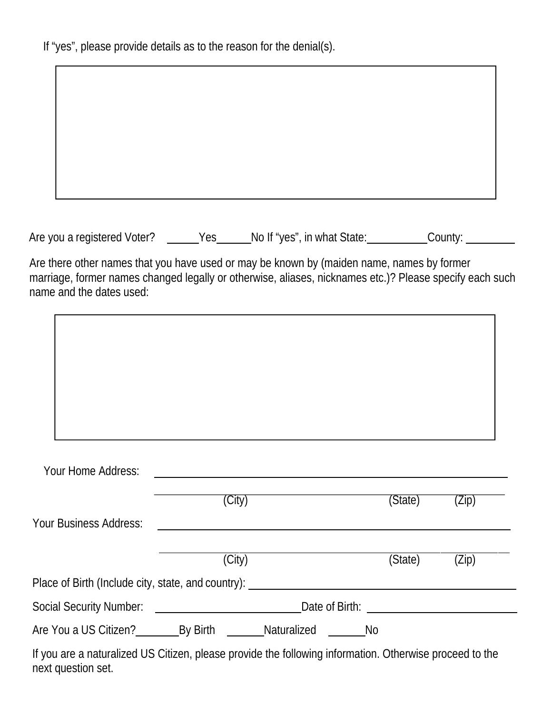If "yes", please provide details as to the reason for the denial(s).

Are you a registered Voter? \_\_\_\_\_Yes\_\_\_\_\_No If "yes", in what State: \_\_\_\_\_\_\_\_\_County: \_\_\_\_\_\_\_\_\_

Are there other names that you have used or may be known by (maiden name, names by former marriage, former names changed legally or otherwise, aliases, nicknames etc.)? Please specify each such name and the dates used:

| Your Home Address:                                                                                                            | <u> 1989 - Johann John Stoff, deutscher Stoffen und der Stoffen und der Stoffen und der Stoffen und der Stoffen</u> |                               |       |
|-------------------------------------------------------------------------------------------------------------------------------|---------------------------------------------------------------------------------------------------------------------|-------------------------------|-------|
|                                                                                                                               |                                                                                                                     |                               |       |
|                                                                                                                               | (City)                                                                                                              | (State)                       | (Zip) |
| Your Business Address:                                                                                                        |                                                                                                                     |                               |       |
|                                                                                                                               |                                                                                                                     |                               |       |
|                                                                                                                               | $\overline{(City)}$                                                                                                 | (State)                       | (Zip) |
| Place of Birth (Include city, state, and country):                                                                            |                                                                                                                     |                               |       |
|                                                                                                                               |                                                                                                                     | Date of Birth: Date of Birth: |       |
| Are You a US Citizen? By Birth Maturalized Mo                                                                                 |                                                                                                                     |                               |       |
| If you are a naturalized US Citizen, please provide the following information. Otherwise proceed to the<br>next question set. |                                                                                                                     |                               |       |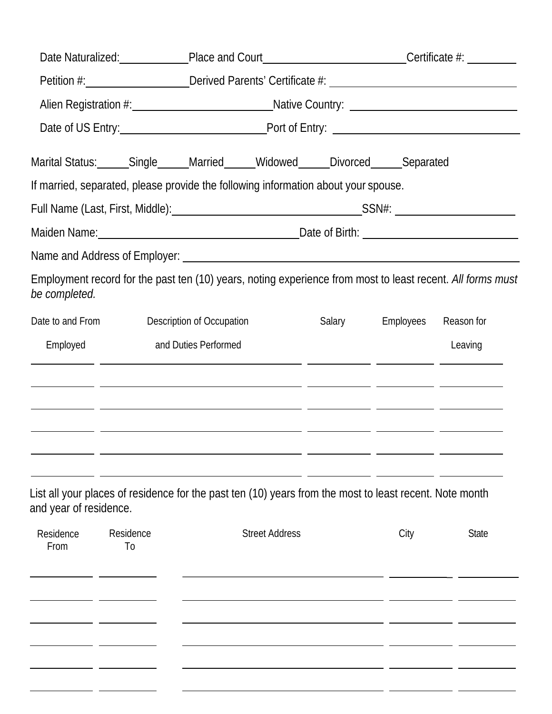|                                                                                                                                   |                 |                           | Date Naturalized: Place and Court Court Certificate #: Certificate #: |                             |      |                                                                                                                                 |  |
|-----------------------------------------------------------------------------------------------------------------------------------|-----------------|---------------------------|-----------------------------------------------------------------------|-----------------------------|------|---------------------------------------------------------------------------------------------------------------------------------|--|
|                                                                                                                                   |                 |                           |                                                                       |                             |      |                                                                                                                                 |  |
|                                                                                                                                   |                 |                           |                                                                       |                             |      |                                                                                                                                 |  |
|                                                                                                                                   |                 |                           |                                                                       |                             |      |                                                                                                                                 |  |
| Marital Status: Single Married Widowed Divorced Separated                                                                         |                 |                           |                                                                       |                             |      |                                                                                                                                 |  |
| If married, separated, please provide the following information about your spouse.                                                |                 |                           |                                                                       |                             |      |                                                                                                                                 |  |
|                                                                                                                                   |                 |                           |                                                                       |                             |      |                                                                                                                                 |  |
|                                                                                                                                   |                 |                           |                                                                       |                             |      |                                                                                                                                 |  |
|                                                                                                                                   |                 |                           |                                                                       |                             |      |                                                                                                                                 |  |
| be completed.                                                                                                                     |                 |                           |                                                                       |                             |      | Employment record for the past ten (10) years, noting experience from most to least recent. All forms must                      |  |
| Date to and From                                                                                                                  |                 | Description of Occupation |                                                                       | Salary Employees Reason for |      |                                                                                                                                 |  |
| Employed                                                                                                                          |                 | and Duties Performed      |                                                                       |                             |      | Leaving<br><u> 2000 - 2000 - 2000 - 2000 - 2000 - 2000 - 2000 - 2000 - 2000 - 2000 - 2000 - 2000 - 2000 - 2000 - 2000 - 200</u> |  |
|                                                                                                                                   |                 |                           |                                                                       |                             |      |                                                                                                                                 |  |
| <u> 2000 - Andrea Andrew American (b. 1989)</u>                                                                                   |                 |                           |                                                                       |                             |      |                                                                                                                                 |  |
|                                                                                                                                   |                 |                           |                                                                       |                             |      |                                                                                                                                 |  |
|                                                                                                                                   |                 |                           |                                                                       |                             |      |                                                                                                                                 |  |
| List all your places of residence for the past ten (10) years from the most to least recent. Note month<br>and year of residence. |                 |                           |                                                                       |                             |      |                                                                                                                                 |  |
| Residence<br>From                                                                                                                 | Residence<br>Τo |                           | <b>Street Address</b>                                                 |                             | City | <b>State</b>                                                                                                                    |  |
|                                                                                                                                   |                 |                           |                                                                       |                             |      |                                                                                                                                 |  |
|                                                                                                                                   |                 |                           |                                                                       |                             |      |                                                                                                                                 |  |
|                                                                                                                                   |                 |                           |                                                                       |                             |      |                                                                                                                                 |  |
|                                                                                                                                   |                 |                           |                                                                       |                             |      |                                                                                                                                 |  |
|                                                                                                                                   |                 |                           |                                                                       |                             |      |                                                                                                                                 |  |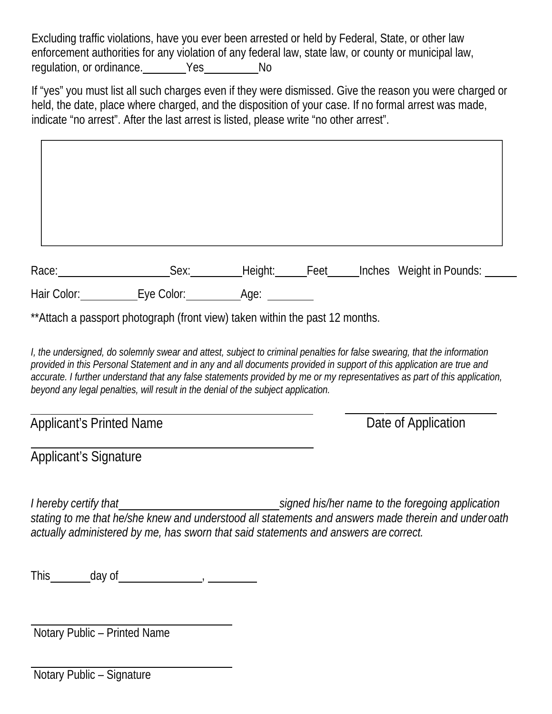Excluding traffic violations, have you ever been arrested or held by Federal, State, or other law enforcement authorities for any violation of any federal law, state law, or county or municipal law, regulation, or ordinance. Ves Ves

If "yes" you must list all such charges even if they were dismissed. Give the reason you were charged or held, the date, place where charged, and the disposition of your case. If no formal arrest was made, indicate "no arrest". After the last arrest is listed, please write "no other arrest".

| Race:       | Sex:       | Height: | Feet | Inches Weight in Pounds: |  |
|-------------|------------|---------|------|--------------------------|--|
| Hair Color: | Eye Color: | Age:    |      |                          |  |

\*\*Attach a passport photograph (front view) taken within the past 12 months.

*I, the undersigned, do solemnly swear and attest, subject to criminal penalties for false swearing, that the information provided in this Personal Statement and in any and all documents provided in support of this application are true and accurate. I further understand that any false statements provided by me or my representatives as part of this application, beyond any legal penalties, will result in the denial of the subject application.* 

Applicant's Printed Name **Date of Application** 

Applicant's Signature

*I* hereby certify that **signed his/her name to the foregoing application** *stating to me that he/she knew and understood all statements and answers made therein and under oath actually administered by me, has sworn that said statements and answers are correct.* 

This day of the state of the state of  $\sim$ 

Notary Public – Printed Name

Notary Public – Signature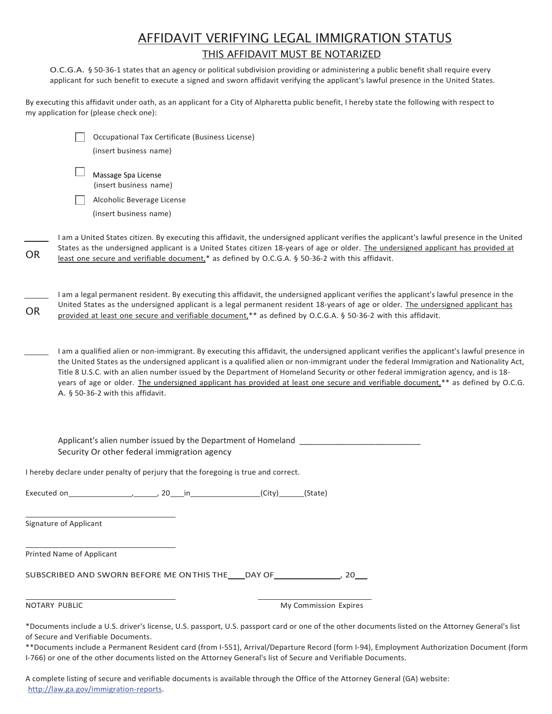#### AFFIDAVIT VERIFYING LEGAL IMMIGRATION STATUS THIS AFFIDAVIT MUST BE NOTARIZED

O.C.G.A. § 50-36-1 states that an agency or political subdivision providing or administering a public benefit shall require every applicant for such benefit to execute a signed and sworn affidavit verifying the applicant's lawful presence in the United States.

By executing this affidavit under oath, as an applicant for a City of Alpharetta public benefit, I hereby state the following with respect to my application for (please check one):

 Occupational Tax Certificate (Business License) (insert business name)

Massage Spa License (insert business name)

Alcoholic Beverage License (insert business name)

I am a United States citizen. By executing this affidavit, the undersigned applicant verifies the applicant's lawful presence in the United States as the undersigned applicant is a United States citizen 18-years of age or older. The undersigned applicant has provided at OR least one secure and verifiable document,\* as defined by O.C.G.A. § 50-36-2 with this affidavit.

I am a legal permanent resident. By executing this affidavit, the undersigned applicant verifies the applicant's lawful presence in the United States as the undersigned applicant is a legal permanent resident 18-years of age or older. The undersigned applicant has OR provided at least one secure and verifiable document,\*\* as defined by O.C.G.A. § 50-36-2 with this affidavit.

I am a qualified alien or non-immigrant. By executing this affidavit, the undersigned applicant verifies the applicant's lawful presence in the United States as the undersigned applicant is a qualified alien or non-immigrant under the federal Immigration and Nationality Act, Title 8 U.S.C. with an alien number issued by the Department of Homeland Security or other federal immigration agency, and is 18 years of age or older. The undersigned applicant has provided at least one secure and verifiable document,\*\* as defined by O.C.G. A. § 50-36-2 with this affidavit.

Applicant's alien number issued by the Department of Homeland \_\_\_\_\_\_\_\_\_\_\_\_\_\_\_\_\_\_ Security Or other federal immigration agency

I hereby declare under penalty of perjury that the foregoing is true and correct.

| Executed on |  |  | <b>SIAIF</b> |
|-------------|--|--|--------------|
|-------------|--|--|--------------|

Signature of Applicant

Printed Name of Applicant

SUBSCRIBED AND SWORN BEFORE ME ON THIS THE DAY OF 60 20 20

NOTARY PUBLIC **My Commission Expires** My Commission Expires

\*Documents include a U.S. driver's license, U.S. passport, U.S. passport card or one of the other documents listed on the Attorney General's list of Secure and Verifiable Documents.

\*\*Documents include a Permanent Resident card (from I-551), Arrival/Departure Record (form I-94), Employment Authorization Document (form I-766) or one of the other documents listed on the Attorney General's list of Secure and Verifiable Documents.

A complete listing of secure and verifiable documents is available through the Office of the Attorney General (GA) website: [http://law.ga.gov/immigration-reports.](http://law.ga.gov/immigration-reports)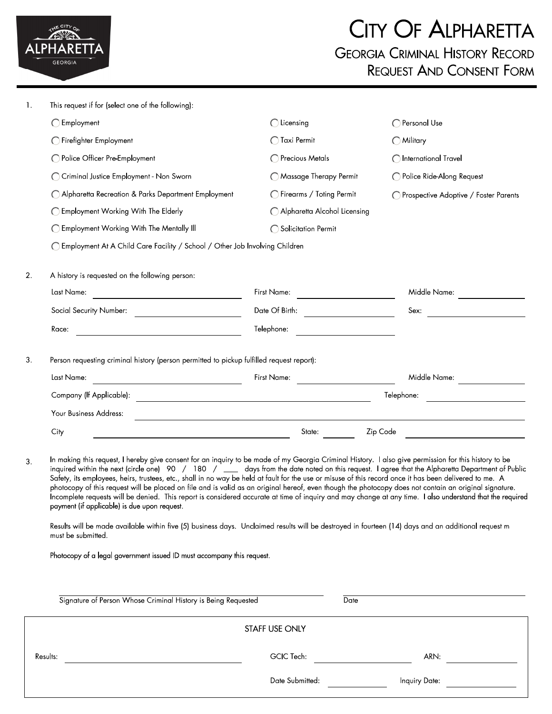

 $\mathbf{1}$ .

 $2.$ 

3.

3.

## **CITY OF ALPHARETTA GEORGIA CRIMINAL HISTORY RECORD**

## **REQUEST AND CONSENT FORM**

| This request if for (select one of the following):                                                                                                                                                                                                                                                                                                                                                                                                                                                                                                                                                                                                                                                                                                                                                                                                                                                                                                                                                                                                                                                |                              |                                         |
|---------------------------------------------------------------------------------------------------------------------------------------------------------------------------------------------------------------------------------------------------------------------------------------------------------------------------------------------------------------------------------------------------------------------------------------------------------------------------------------------------------------------------------------------------------------------------------------------------------------------------------------------------------------------------------------------------------------------------------------------------------------------------------------------------------------------------------------------------------------------------------------------------------------------------------------------------------------------------------------------------------------------------------------------------------------------------------------------------|------------------------------|-----------------------------------------|
| $\bigcirc$ Employment                                                                                                                                                                                                                                                                                                                                                                                                                                                                                                                                                                                                                                                                                                                                                                                                                                                                                                                                                                                                                                                                             | $\bigcap$ Licensing          | ◯ Personal Use                          |
| ◯ Firefighter Employment                                                                                                                                                                                                                                                                                                                                                                                                                                                                                                                                                                                                                                                                                                                                                                                                                                                                                                                                                                                                                                                                          | ◯ Taxi Permit                | $\bigcirc$ Military                     |
| ◯ Police Officer Pre-Employment                                                                                                                                                                                                                                                                                                                                                                                                                                                                                                                                                                                                                                                                                                                                                                                                                                                                                                                                                                                                                                                                   | Precious Metals              | OInternational Travel                   |
| ◯ Criminal Justice Employment - Non Sworn                                                                                                                                                                                                                                                                                                                                                                                                                                                                                                                                                                                                                                                                                                                                                                                                                                                                                                                                                                                                                                                         | O Massage Therapy Permit     | ◯ Police Ride-Along Request             |
| Alpharetta Recreation & Parks Department Employment                                                                                                                                                                                                                                                                                                                                                                                                                                                                                                                                                                                                                                                                                                                                                                                                                                                                                                                                                                                                                                               | ◯ Firearms / Toting Permit   | O Prospective Adoptive / Foster Parents |
| C Employment Working With The Elderly                                                                                                                                                                                                                                                                                                                                                                                                                                                                                                                                                                                                                                                                                                                                                                                                                                                                                                                                                                                                                                                             | Alpharetta Alcohol Licensing |                                         |
| ◯ Employment Working With The Mentally III                                                                                                                                                                                                                                                                                                                                                                                                                                                                                                                                                                                                                                                                                                                                                                                                                                                                                                                                                                                                                                                        | Solicitation Permit          |                                         |
| C Employment At A Child Care Facility / School / Other Job Involving Children                                                                                                                                                                                                                                                                                                                                                                                                                                                                                                                                                                                                                                                                                                                                                                                                                                                                                                                                                                                                                     |                              |                                         |
| A history is requested on the following person:                                                                                                                                                                                                                                                                                                                                                                                                                                                                                                                                                                                                                                                                                                                                                                                                                                                                                                                                                                                                                                                   |                              |                                         |
| Last Name:                                                                                                                                                                                                                                                                                                                                                                                                                                                                                                                                                                                                                                                                                                                                                                                                                                                                                                                                                                                                                                                                                        | First Name:                  | Middle Name:                            |
| Social Security Number:<br>————————————————————                                                                                                                                                                                                                                                                                                                                                                                                                                                                                                                                                                                                                                                                                                                                                                                                                                                                                                                                                                                                                                                   | Date Of Birth:               | Sex:                                    |
| Race:                                                                                                                                                                                                                                                                                                                                                                                                                                                                                                                                                                                                                                                                                                                                                                                                                                                                                                                                                                                                                                                                                             | Telephone:                   |                                         |
| Person requesting criminal history (person permitted to pickup fulfilled request report):                                                                                                                                                                                                                                                                                                                                                                                                                                                                                                                                                                                                                                                                                                                                                                                                                                                                                                                                                                                                         |                              |                                         |
| Last Name:                                                                                                                                                                                                                                                                                                                                                                                                                                                                                                                                                                                                                                                                                                                                                                                                                                                                                                                                                                                                                                                                                        | First Name:                  | Middle Name:                            |
| Company (If Applicable):                                                                                                                                                                                                                                                                                                                                                                                                                                                                                                                                                                                                                                                                                                                                                                                                                                                                                                                                                                                                                                                                          |                              | Telephone:                              |
| Your Business Address:                                                                                                                                                                                                                                                                                                                                                                                                                                                                                                                                                                                                                                                                                                                                                                                                                                                                                                                                                                                                                                                                            |                              |                                         |
| City                                                                                                                                                                                                                                                                                                                                                                                                                                                                                                                                                                                                                                                                                                                                                                                                                                                                                                                                                                                                                                                                                              | State:                       |                                         |
| In making this request, I hereby give consent for an inquiry to be made of my Georgia Criminal History. I also give permission for this history to be<br>inquired within the next (circle one) 90 / 180 / ___ days from the date noted on this request. I agree that the Alpharetta Department of Public<br>Safety, its employees, heirs, trustees, etc., shall in no way be held at fault for the use or misuse of this record once it has been delivered to me. A<br>photocopy of this request will be placed on file and is valid as an original hereof, even though the photocopy does not contain an original signature.<br>Incomplete requests will be denied. This report is considered accurate at time of inquiry and may change at any time. I also understand that the required<br>payment (if applicable) is due upon request.<br>Results will be made available within five (5) business days. Unclaimed results will be destroyed in fourteen (14) days and an additional request m<br>must be submitted.<br>Photocopy of a legal government issued ID must accompany this request. |                              |                                         |

|          | STAFF USE ONLY  |                      |  |
|----------|-----------------|----------------------|--|
| Results: | GCIC Tech:      | ARN:                 |  |
|          | Date Submitted: | <b>Inquiry Date:</b> |  |

Date

Signature of Person Whose Criminal History is Being Requested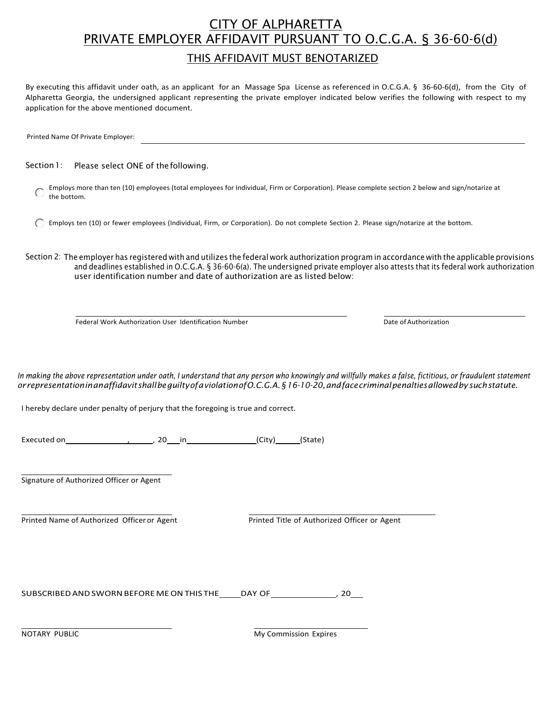#### CITY OF ALPHARETTA PRIVATE EMPLOYER AFFIDAVIT PURSUANT TO O.C.G.A. § 36-60-6(d)

#### THIS AFFIDAVIT MUST BENOTARIZED

By executing this affidavit under oath, as an applicant for an Massage Spa License as referenced in O.C.G.A. § 36‐60‐6(d), from the City of Alpharetta Georgia, the undersigned applicant representing the private employer indicated below verifies the following with respect to my application for the above mentioned document.

Printed Name Of Private Employer:

Section 1: Please select ONE of the following.

Employs more than ten (10) employees (total employees for Individual, Firm or Corporation). Please complete section 2 below and sign/notarize at the bottom.

Employs ten (10) or fewer employees (Individual, Firm, or Corporation). Do not complete Section 2. Please sign/notarize at the bottom.

Section 2: The employer has registered with and utilizes the federal work authorization program in accordance with the applicable provisions and deadlines established in O.C.G.A. § 36-60-6(a). The undersigned private employer also attests that its federal work authorization user identification number and date of authorization are as listed below:

Federal Work Authorization User Identification Number **Date of Authorization** Date of Authorization

In making the above representation under oath, I understand that any person who knowingly and willfully makes a false, fictitious, or fraudulent statement *or representation in an affidavit shall be guilty of a violation of O.C.G.A. § 16-10-20, and face criminal penalties allowed by such statute.* 

I hereby declare under penalty of perjury that the foregoing is true and correct.

Executed on , , 20 in (City) (State)

Signature of Authorized Officer or Agent

Printed Name of Authorized Officer or Agent Printed Title of Authorized Officer or Agent

SUBSCRIBED AND SWORN BEFORE ME ON THIS THE \_\_\_\_\_DAY OF \_\_\_\_\_\_\_\_\_\_\_\_\_\_\_\_\_\_\_\_\_\_20\_\_

NOTARY PUBLIC **My Commission Expires** My Commission Expires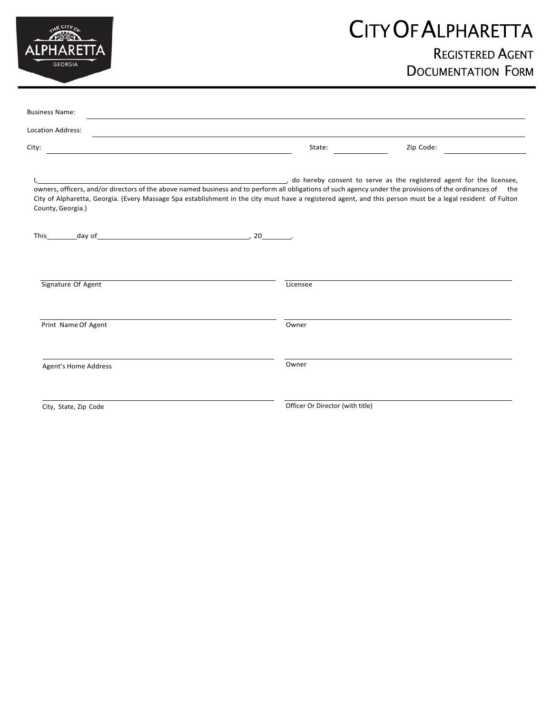### **REGISTERED AGENT DOCUMENTATION FORM**

| <b>Business Name:</b>                                                                                                                                                                                                                                                                                                                                                                                                 |                                  |           |
|-----------------------------------------------------------------------------------------------------------------------------------------------------------------------------------------------------------------------------------------------------------------------------------------------------------------------------------------------------------------------------------------------------------------------|----------------------------------|-----------|
| <b>Location Address:</b>                                                                                                                                                                                                                                                                                                                                                                                              |                                  |           |
| City:                                                                                                                                                                                                                                                                                                                                                                                                                 | State:                           | Zip Code: |
| do hereby consent to serve as the registered agent for the licensee,<br>owners, officers, and/or directors of the above named business and to perform all obligations of such agency under the provisions of the ordinances of the<br>City of Alpharetta, Georgia. (Every Massage Spa establishment in the city must have a registered agent, and this person must be a legal resident of Fulton<br>County, Georgia.) |                                  |           |
|                                                                                                                                                                                                                                                                                                                                                                                                                       |                                  |           |
| Signature Of Agent                                                                                                                                                                                                                                                                                                                                                                                                    | Licensee                         |           |
| Print Name Of Agent                                                                                                                                                                                                                                                                                                                                                                                                   | Owner                            |           |
| <b>Agent's Home Address</b>                                                                                                                                                                                                                                                                                                                                                                                           | Owner                            |           |
| City, State, Zip Code                                                                                                                                                                                                                                                                                                                                                                                                 | Officer Or Director (with title) |           |

**ALPHARETTA** 

**GEORGIA**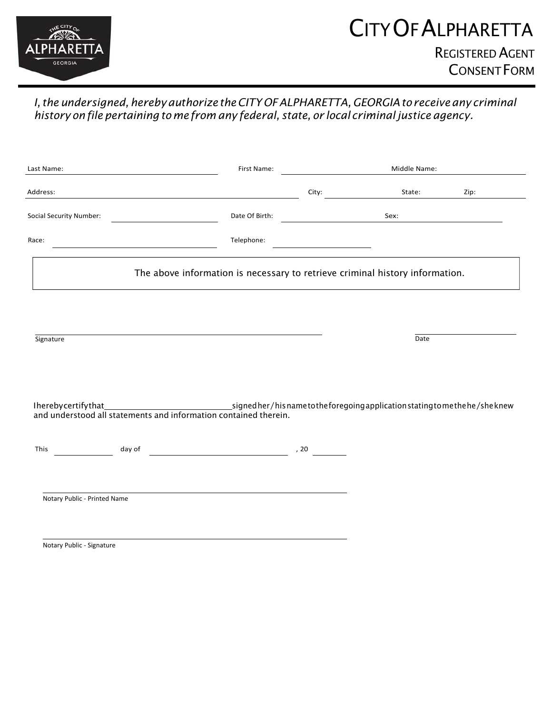

#### *I, the undersigned, hereby authorize the CITY OF ALPHARETTA, GEORGIA to receive any criminal history on file pertaining to me from any federal, state, or local criminal justice agency.*

| Last Name:                     | First Name:                                                                  | Middle Name: |        |      |
|--------------------------------|------------------------------------------------------------------------------|--------------|--------|------|
| Address:                       |                                                                              | City:        | State: | Zip: |
| <b>Social Security Number:</b> | Date Of Birth:                                                               |              | Sex:   |      |
| Race:                          | Telephone:                                                                   |              |        |      |
|                                | The above information is necessary to retrieve criminal history information. |              |        |      |
| Signature                      |                                                                              |              | Date   |      |
|                                |                                                                              |              |        |      |
|                                |                                                                              |              |        |      |
| <b>This</b>                    |                                                                              | , 20         |        |      |
| Notary Public - Printed Name   |                                                                              |              |        |      |

Notary Public ‐ Signature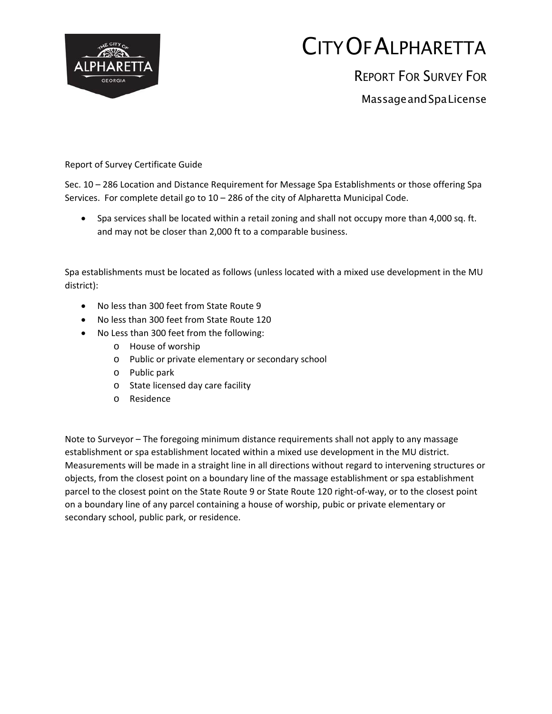

#### REPORT FOR SURVEY FOR

Massage and Spa License

Report of Survey Certificate Guide

Sec. 10 – 286 Location and Distance Requirement for Message Spa Establishments or those offering Spa Services. For complete detail go to 10 – 286 of the city of Alpharetta Municipal Code.

 Spa services shall be located within a retail zoning and shall not occupy more than 4,000 sq. ft. and may not be closer than 2,000 ft to a comparable business.

Spa establishments must be located as follows (unless located with a mixed use development in the MU district):

- No less than 300 feet from State Route 9
- No less than 300 feet from State Route 120
- No Less than 300 feet from the following:
	- o House of worship
	- o Public or private elementary or secondary school
	- o Public park
	- o State licensed day care facility
	- o Residence

Note to Surveyor – The foregoing minimum distance requirements shall not apply to any massage establishment or spa establishment located within a mixed use development in the MU district. Measurements will be made in a straight line in all directions without regard to intervening structures or objects, from the closest point on a boundary line of the massage establishment or spa establishment parcel to the closest point on the State Route 9 or State Route 120 right‐of‐way, or to the closest point on a boundary line of any parcel containing a house of worship, pubic or private elementary or secondary school, public park, or residence.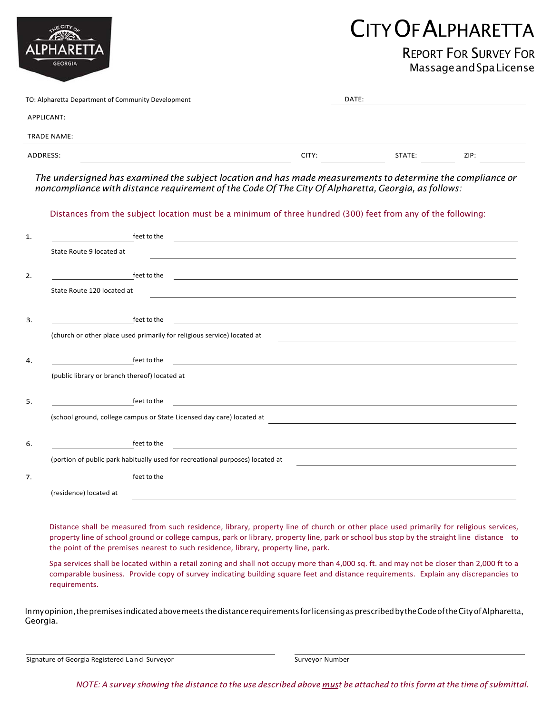#### **REPORT FOR SURVEY FOR** Massage and Spa License

| TO: Alpharetta Department of Community Development |       | DATE: |        |      |
|----------------------------------------------------|-------|-------|--------|------|
| APPLICANT:                                         |       |       |        |      |
| TRADE NAME:                                        |       |       |        |      |
| ADDRESS:                                           | CITY: |       | STATE: | ZIP: |

*The undersigned has examined the subject location and has made measurements to determine the compliance or noncompliance with distance requirement of the Code Of The City Of Alpharetta, Georgia, as follows:* 

Distances from the subject location must be a minimum of three hundred (300) feet from any of the following:

| 1. | feet to the                                                                                                                         |
|----|-------------------------------------------------------------------------------------------------------------------------------------|
|    | State Route 9 located at                                                                                                            |
| 2. | feet to the                                                                                                                         |
|    | State Route 120 located at<br>,我们也不会有什么。""我们的人,我们也不会有什么?""我们的人,我们也不会有什么?""我们的人,我们也不会有什么?""我们的人,我们也不会有什么?""我们的人                      |
| 3. | feet to the                                                                                                                         |
|    | (church or other place used primarily for religious service) located at                                                             |
| 4. | feet to the<br><u> 1980 - Andrea Stadt Britain, amerikansk politik (d. 1980)</u>                                                    |
|    | (public library or branch thereof) located at                                                                                       |
| 5. | feet to the                                                                                                                         |
|    | (school ground, college campus or State Licensed day care) located at                                                               |
| 6. | feet to the<br><u> 1980 - Johann Stoff, deutscher Stoff, der Stoff, deutscher Stoff, der Stoff, der Stoff, der Stoff, der Stoff</u> |
|    | (portion of public park habitually used for recreational purposes) located at                                                       |
| 7. | feet to the                                                                                                                         |
|    | (residence) located at                                                                                                              |

Distance shall be measured from such residence, library, property line of church or other place used primarily for religious services, property line of school ground or college campus, park or library, property line, park or school bus stop by the straight line distance to the point of the premises nearest to such residence, library, property line, park.

Spa services shall be located within a retail zoning and shall not occupy more than 4,000 sq. ft. and may not be closer than 2,000 ft to a comparable business. Provide copy of survey indicating building square feet and distance requirements. Explain any discrepancies to requirements.

In my opinion, the premises indicated above meets the distance requirements for licensing as prescribed by the Code of the City of Alpharetta, Georgia.

Signature of Georgia Registered Land Surveyor Surveyor Number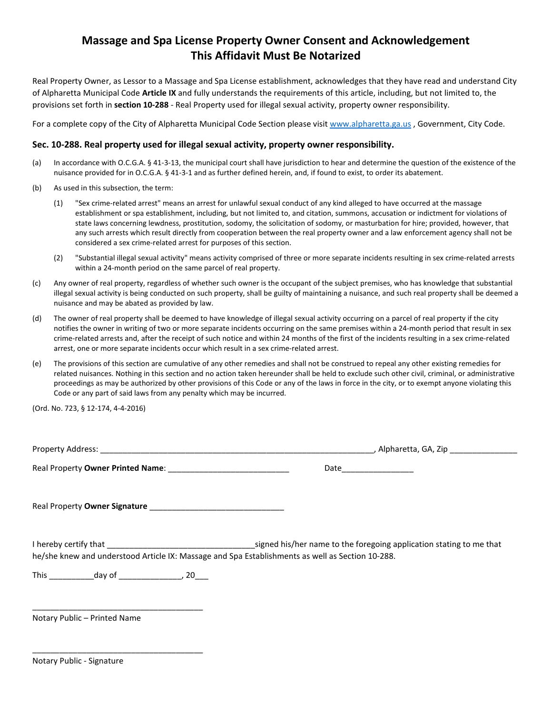#### **Massage and Spa License Property Owner Consent and Acknowledgement This Affidavit Must Be Notarized**

Real Property Owner, as Lessor to a Massage and Spa License establishment, acknowledges that they have read and understand City of Alpharetta Municipal Code **Article IX** and fully understands the requirements of this article, including, but not limited to, the provisions set forth in **section 10-288** - Real Property used for illegal sexual activity, property owner responsibility.

For a complete copy of the City of Alpharetta Municipal Code Section please visit [www.alpharetta.ga.us](http://www.alpharetta.ga.us/), Government, City Code.

#### **Sec. 10-288. Real property used for illegal sexual activity, property owner responsibility.**

- (a) In accordance with O.C.G.A. § 41-3-13, the municipal court shall have jurisdiction to hear and determine the question of the existence of the nuisance provided for in O.C.G.A. § 41-3-1 and as further defined herein, and, if found to exist, to order its abatement.
- (b) As used in this subsection, the term:
	- (1) "Sex crime-related arrest" means an arrest for unlawful sexual conduct of any kind alleged to have occurred at the massage establishment or spa establishment, including, but not limited to, and citation, summons, accusation or indictment for violations of state laws concerning lewdness, prostitution, sodomy, the solicitation of sodomy, or masturbation for hire; provided, however, that any such arrests which result directly from cooperation between the real property owner and a law enforcement agency shall not be considered a sex crime-related arrest for purposes of this section.
	- (2) "Substantial illegal sexual activity" means activity comprised of three or more separate incidents resulting in sex crime-related arrests within a 24-month period on the same parcel of real property.
- (c) Any owner of real property, regardless of whether such owner is the occupant of the subject premises, who has knowledge that substantial illegal sexual activity is being conducted on such property, shall be guilty of maintaining a nuisance, and such real property shall be deemed a nuisance and may be abated as provided by law.
- (d) The owner of real property shall be deemed to have knowledge of illegal sexual activity occurring on a parcel of real property if the city notifies the owner in writing of two or more separate incidents occurring on the same premises within a 24-month period that result in sex crime-related arrests and, after the receipt of such notice and within 24 months of the first of the incidents resulting in a sex crime-related arrest, one or more separate incidents occur which result in a sex crime-related arrest.
- (e) The provisions of this section are cumulative of any other remedies and shall not be construed to repeal any other existing remedies for related nuisances. Nothing in this section and no action taken hereunder shall be held to exclude such other civil, criminal, or administrative proceedings as may be authorized by other provisions of this Code or any of the laws in force in the city, or to exempt anyone violating this Code or any part of said laws from any penalty which may be incurred.

(Ord. No. 723, § 12-174, 4-4-2016)

| he/she knew and understood Article IX: Massage and Spa Establishments as well as Section 10-288. |  |
|--------------------------------------------------------------------------------------------------|--|
|                                                                                                  |  |
| Notary Public - Printed Name                                                                     |  |